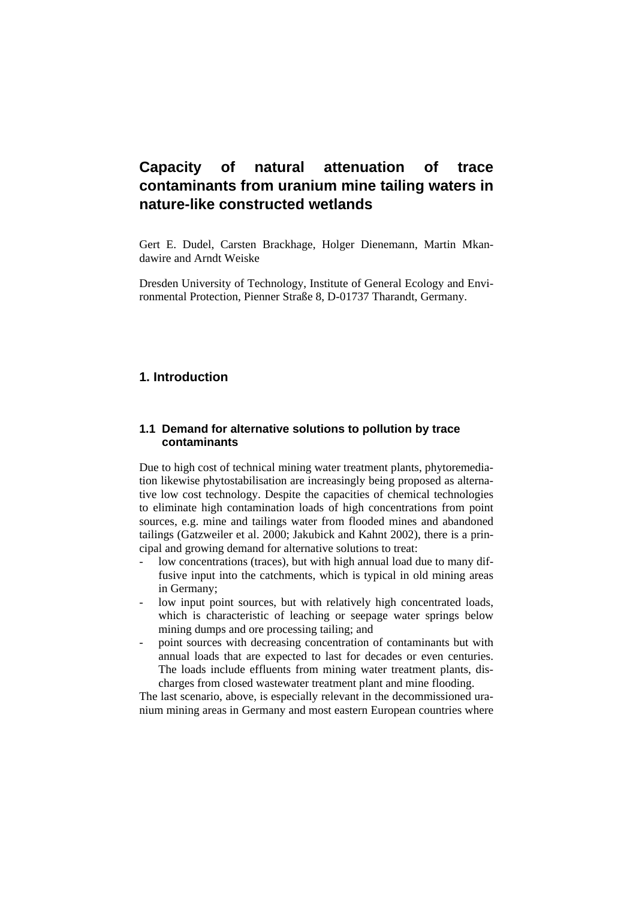Gert E. Dudel, Carsten Brackhage, Holger Dienemann, Martin Mkandawire and Arndt Weiske

Dresden University of Technology, Institute of General Ecology and Environmental Protection, Pienner Straße 8, D-01737 Tharandt, Germany.

## **1. Introduction**

### **1.1 Demand for alternative solutions to pollution by trace contaminants**

Due to high cost of technical mining water treatment plants, phytoremediation likewise phytostabilisation are increasingly being proposed as alternative low cost technology. Despite the capacities of chemical technologies to eliminate high contamination loads of high concentrations from point sources, e.g. mine and tailings water from flooded mines and abandoned tailings (Gatzweiler et al. 2000; Jakubick and Kahnt 2002), there is a principal and growing demand for alternative solutions to treat:

- low concentrations (traces), but with high annual load due to many diffusive input into the catchments, which is typical in old mining areas in Germany;
- low input point sources, but with relatively high concentrated loads, which is characteristic of leaching or seepage water springs below mining dumps and ore processing tailing; and
- point sources with decreasing concentration of contaminants but with annual loads that are expected to last for decades or even centuries. The loads include effluents from mining water treatment plants, discharges from closed wastewater treatment plant and mine flooding.

The last scenario, above, is especially relevant in the decommissioned uranium mining areas in Germany and most eastern European countries where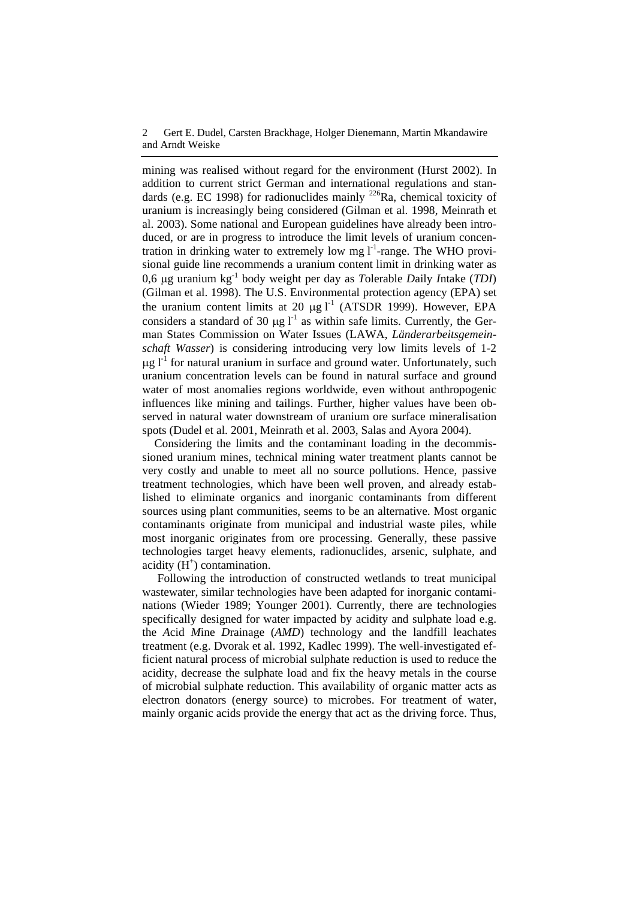mining was realised without regard for the environment (Hurst 2002). In addition to current strict German and international regulations and standards (e.g. EC 1998) for radionuclides mainly  $^{226}$ Ra, chemical toxicity of uranium is increasingly being considered (Gilman et al. 1998, Meinrath et al. 2003). Some national and European guidelines have already been introduced, or are in progress to introduce the limit levels of uranium concentration in drinking water to extremely low mg  $1^{-1}$ -range. The WHO provisional guide line recommends a uranium content limit in drinking water as 0,6 μg uranium kg-1 body weight per day as *T*olerable *D*aily *I*ntake (*TDI*) (Gilman et al. 1998). The U.S. Environmental protection agency (EPA) set the uranium content limits at 20  $\mu$ g l<sup>-1</sup> (ATSDR 1999). However, EPA considers a standard of 30 μg  $l^{-1}$  as within safe limits. Currently, the German States Commission on Water Issues (LAWA, *Länderarbeitsgemeinschaft Wasser*) is considering introducing very low limits levels of 1-2  $\mu$ g l<sup>-1</sup> for natural uranium in surface and ground water. Unfortunately, such uranium concentration levels can be found in natural surface and ground water of most anomalies regions worldwide, even without anthropogenic influences like mining and tailings. Further, higher values have been observed in natural water downstream of uranium ore surface mineralisation spots (Dudel et al. 2001, Meinrath et al. 2003, Salas and Ayora 2004).

Considering the limits and the contaminant loading in the decommissioned uranium mines, technical mining water treatment plants cannot be very costly and unable to meet all no source pollutions. Hence, passive treatment technologies, which have been well proven, and already established to eliminate organics and inorganic contaminants from different sources using plant communities, seems to be an alternative. Most organic contaminants originate from municipal and industrial waste piles, while most inorganic originates from ore processing. Generally, these passive technologies target heavy elements, radionuclides, arsenic, sulphate, and acidity  $(H^+)$  contamination.

Following the introduction of constructed wetlands to treat municipal wastewater, similar technologies have been adapted for inorganic contaminations (Wieder 1989; Younger 2001). Currently, there are technologies specifically designed for water impacted by acidity and sulphate load e.g. the *A*cid *M*ine *D*rainage (*AMD*) technology and the landfill leachates treatment (e.g. Dvorak et al. 1992, Kadlec 1999). The well-investigated efficient natural process of microbial sulphate reduction is used to reduce the acidity, decrease the sulphate load and fix the heavy metals in the course of microbial sulphate reduction. This availability of organic matter acts as electron donators (energy source) to microbes. For treatment of water, mainly organic acids provide the energy that act as the driving force. Thus,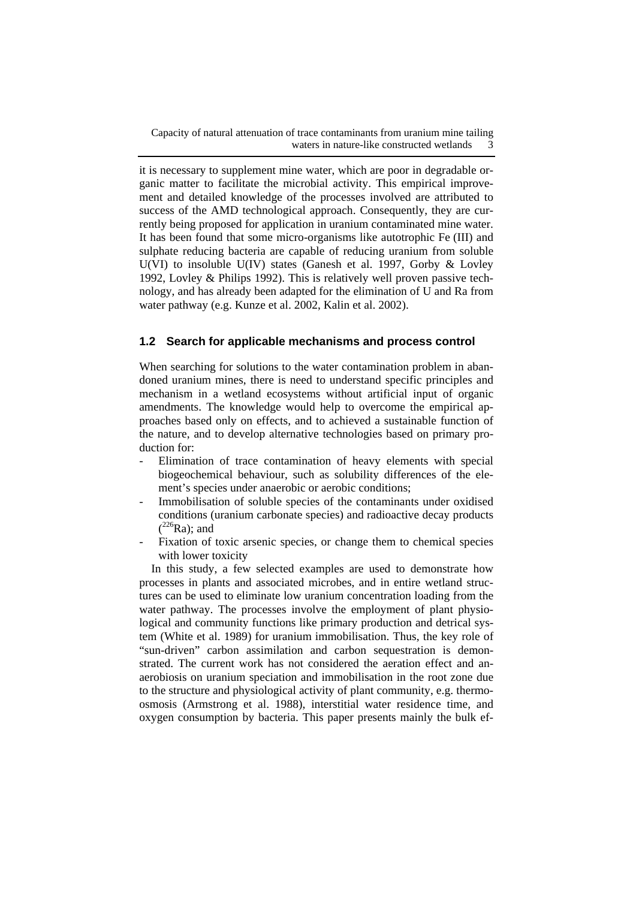it is necessary to supplement mine water, which are poor in degradable organic matter to facilitate the microbial activity. This empirical improvement and detailed knowledge of the processes involved are attributed to success of the AMD technological approach. Consequently, they are currently being proposed for application in uranium contaminated mine water. It has been found that some micro-organisms like autotrophic Fe (III) and sulphate reducing bacteria are capable of reducing uranium from soluble U(VI) to insoluble U(IV) states (Ganesh et al. 1997, Gorby & Lovley 1992, Lovley & Philips 1992). This is relatively well proven passive technology, and has already been adapted for the elimination of U and Ra from water pathway (e.g. Kunze et al. 2002, Kalin et al. 2002).

## **1.2 Search for applicable mechanisms and process control**

When searching for solutions to the water contamination problem in abandoned uranium mines, there is need to understand specific principles and mechanism in a wetland ecosystems without artificial input of organic amendments. The knowledge would help to overcome the empirical approaches based only on effects, and to achieved a sustainable function of the nature, and to develop alternative technologies based on primary production for:

- Elimination of trace contamination of heavy elements with special biogeochemical behaviour, such as solubility differences of the element's species under anaerobic or aerobic conditions;
- Immobilisation of soluble species of the contaminants under oxidised conditions (uranium carbonate species) and radioactive decay products  $(^{226}Ra)$ ; and
- Fixation of toxic arsenic species, or change them to chemical species with lower toxicity

In this study, a few selected examples are used to demonstrate how processes in plants and associated microbes, and in entire wetland structures can be used to eliminate low uranium concentration loading from the water pathway. The processes involve the employment of plant physiological and community functions like primary production and detrical system (White et al. 1989) for uranium immobilisation. Thus, the key role of "sun-driven" carbon assimilation and carbon sequestration is demonstrated. The current work has not considered the aeration effect and anaerobiosis on uranium speciation and immobilisation in the root zone due to the structure and physiological activity of plant community, e.g. thermoosmosis (Armstrong et al. 1988), interstitial water residence time, and oxygen consumption by bacteria. This paper presents mainly the bulk ef-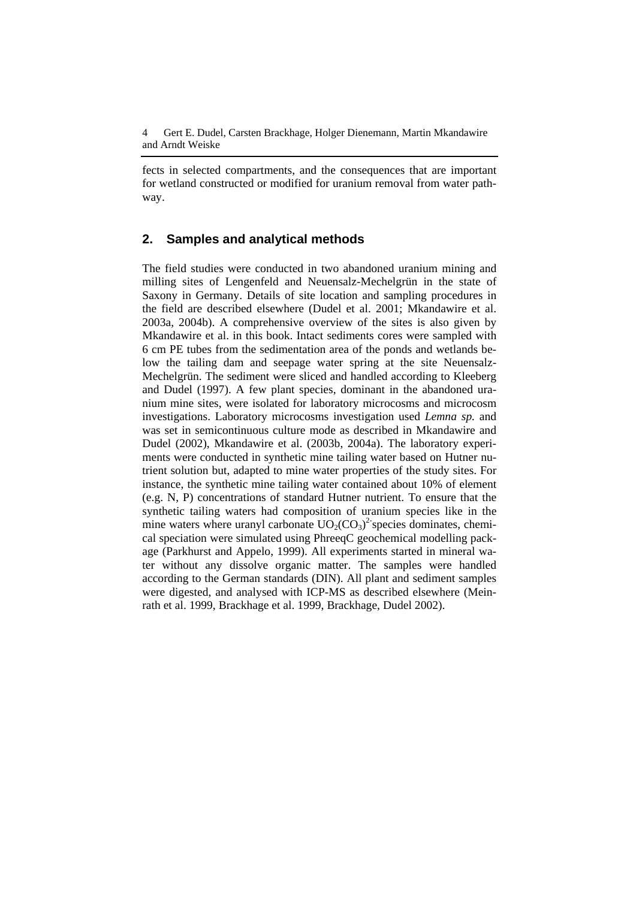fects in selected compartments, and the consequences that are important for wetland constructed or modified for uranium removal from water pathway.

## **2. Samples and analytical methods**

The field studies were conducted in two abandoned uranium mining and milling sites of Lengenfeld and Neuensalz-Mechelgrün in the state of Saxony in Germany. Details of site location and sampling procedures in the field are described elsewhere (Dudel et al. 2001; Mkandawire et al. 2003a, 2004b). A comprehensive overview of the sites is also given by Mkandawire et al. in this book. Intact sediments cores were sampled with 6 cm PE tubes from the sedimentation area of the ponds and wetlands below the tailing dam and seepage water spring at the site Neuensalz-Mechelgrün. The sediment were sliced and handled according to Kleeberg and Dudel (1997). A few plant species, dominant in the abandoned uranium mine sites, were isolated for laboratory microcosms and microcosm investigations. Laboratory microcosms investigation used *Lemna sp.* and was set in semicontinuous culture mode as described in Mkandawire and Dudel (2002), Mkandawire et al. (2003b, 2004a). The laboratory experiments were conducted in synthetic mine tailing water based on Hutner nutrient solution but, adapted to mine water properties of the study sites. For instance, the synthetic mine tailing water contained about 10% of element (e.g. N, P) concentrations of standard Hutner nutrient. To ensure that the synthetic tailing waters had composition of uranium species like in the mine waters where uranyl carbonate  $UO_2(CO_3)^2$  species dominates, chemical speciation were simulated using PhreeqC geochemical modelling package (Parkhurst and Appelo, 1999). All experiments started in mineral water without any dissolve organic matter. The samples were handled according to the German standards (DIN). All plant and sediment samples were digested, and analysed with ICP-MS as described elsewhere (Meinrath et al. 1999, Brackhage et al. 1999, Brackhage, Dudel 2002).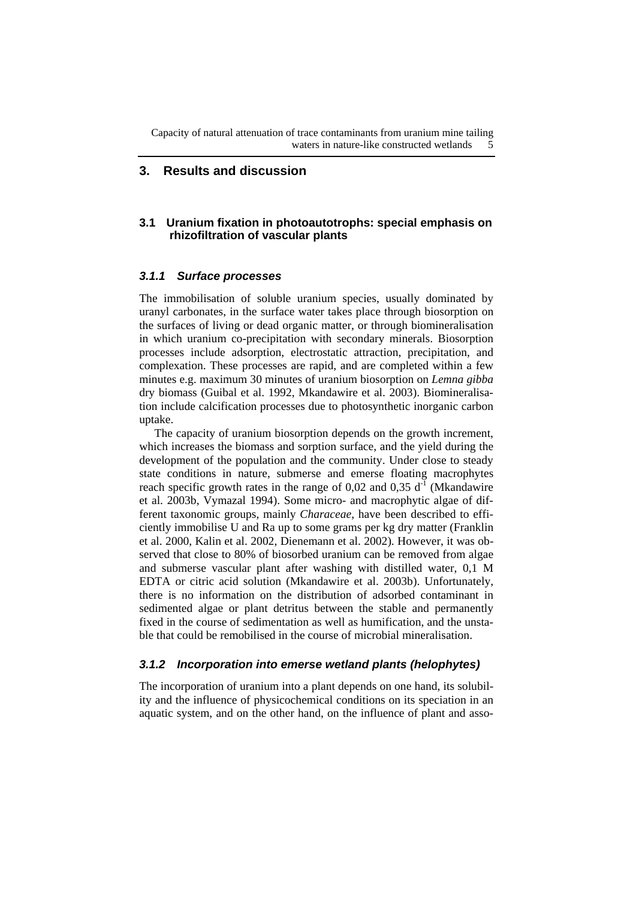#### **3. Results and discussion**

### **3.1 Uranium fixation in photoautotrophs: special emphasis on rhizofiltration of vascular plants**

### *3.1.1 Surface processes*

The immobilisation of soluble uranium species, usually dominated by uranyl carbonates, in the surface water takes place through biosorption on the surfaces of living or dead organic matter, or through biomineralisation in which uranium co-precipitation with secondary minerals. Biosorption processes include adsorption, electrostatic attraction, precipitation, and complexation. These processes are rapid, and are completed within a few minutes e.g. maximum 30 minutes of uranium biosorption on *Lemna gibba* dry biomass (Guibal et al. 1992, Mkandawire et al. 2003). Biomineralisation include calcification processes due to photosynthetic inorganic carbon uptake.

The capacity of uranium biosorption depends on the growth increment, which increases the biomass and sorption surface, and the yield during the development of the population and the community. Under close to steady state conditions in nature, submerse and emerse floating macrophytes reach specific growth rates in the range of 0,02 and 0,35  $d<sup>-1</sup>$  (Mkandawire et al. 2003b, Vymazal 1994). Some micro- and macrophytic algae of different taxonomic groups, mainly *Characeae*, have been described to efficiently immobilise U and Ra up to some grams per kg dry matter (Franklin et al. 2000, Kalin et al. 2002, Dienemann et al. 2002). However, it was observed that close to 80% of biosorbed uranium can be removed from algae and submerse vascular plant after washing with distilled water, 0,1 M EDTA or citric acid solution (Mkandawire et al. 2003b). Unfortunately, there is no information on the distribution of adsorbed contaminant in sedimented algae or plant detritus between the stable and permanently fixed in the course of sedimentation as well as humification, and the unstable that could be remobilised in the course of microbial mineralisation.

#### *3.1.2 Incorporation into emerse wetland plants (helophytes)*

The incorporation of uranium into a plant depends on one hand, its solubility and the influence of physicochemical conditions on its speciation in an aquatic system, and on the other hand, on the influence of plant and asso-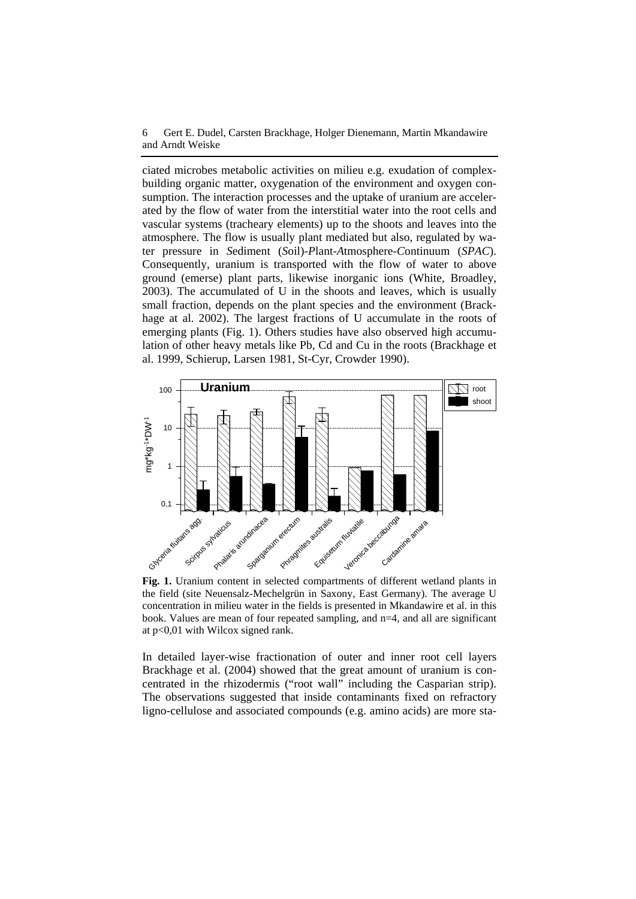ciated microbes metabolic activities on milieu e.g. exudation of complexbuilding organic matter, oxygenation of the environment and oxygen consumption. The interaction processes and the uptake of uranium are accelerated by the flow of water from the interstitial water into the root cells and vascular systems (tracheary elements) up to the shoots and leaves into the atmosphere. The flow is usually plant mediated but also, regulated by water pressure in *S*ediment (*S*oil)-*P*lant-*A*tmosphere-*C*ontinuum (*SPAC*). Consequently, uranium is transported with the flow of water to above ground (emerse) plant parts, likewise inorganic ions (White, Broadley, 2003). The accumulated of U in the shoots and leaves, which is usually small fraction, depends on the plant species and the environment (Brackhage at al. 2002). The largest fractions of U accumulate in the roots of emerging plants (Fig. 1). Others studies have also observed high accumulation of other heavy metals like Pb, Cd and Cu in the roots (Brackhage et al. 1999, Schierup, Larsen 1981, St-Cyr, Crowder 1990).



**Fig. 1.** Uranium content in selected compartments of different wetland plants in the field (site Neuensalz-Mechelgrün in Saxony, East Germany). The average U concentration in milieu water in the fields is presented in Mkandawire et al. in this book. Values are mean of four repeated sampling, and n=4, and all are significant at p<0,01 with Wilcox signed rank.

In detailed layer-wise fractionation of outer and inner root cell layers Brackhage et al. (2004) showed that the great amount of uranium is concentrated in the rhizodermis ("root wall" including the Casparian strip). The observations suggested that inside contaminants fixed on refractory ligno-cellulose and associated compounds (e.g. amino acids) are more sta-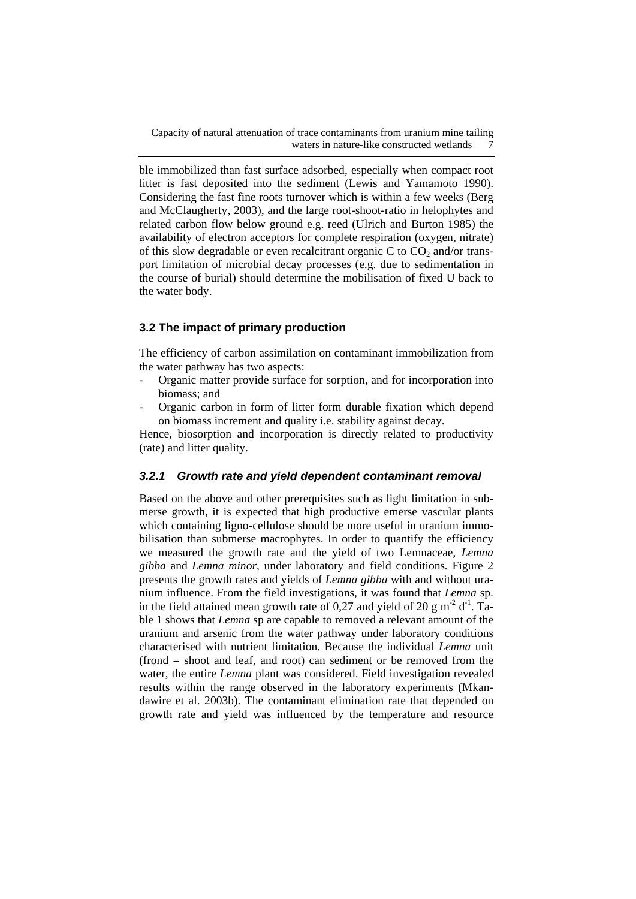ble immobilized than fast surface adsorbed, especially when compact root litter is fast deposited into the sediment (Lewis and Yamamoto 1990). Considering the fast fine roots turnover which is within a few weeks (Berg and McClaugherty, 2003), and the large root-shoot-ratio in helophytes and related carbon flow below ground e.g. reed (Ulrich and Burton 1985) the availability of electron acceptors for complete respiration (oxygen, nitrate) of this slow degradable or even recalcitrant organic C to  $CO<sub>2</sub>$  and/or transport limitation of microbial decay processes (e.g. due to sedimentation in the course of burial) should determine the mobilisation of fixed U back to the water body.

## **3.2 The impact of primary production**

The efficiency of carbon assimilation on contaminant immobilization from the water pathway has two aspects:

- Organic matter provide surface for sorption, and for incorporation into biomass; and
- Organic carbon in form of litter form durable fixation which depend on biomass increment and quality i.e. stability against decay.

Hence, biosorption and incorporation is directly related to productivity (rate) and litter quality.

#### *3.2.1 Growth rate and yield dependent contaminant removal*

Based on the above and other prerequisites such as light limitation in submerse growth, it is expected that high productive emerse vascular plants which containing ligno-cellulose should be more useful in uranium immobilisation than submerse macrophytes. In order to quantify the efficiency we measured the growth rate and the yield of two Lemnaceae, *Lemna gibba* and *Lemna minor*, under laboratory and field conditions*.* Figure 2 presents the growth rates and yields of *Lemna gibba* with and without uranium influence. From the field investigations, it was found that *Lemna* sp. in the field attained mean growth rate of 0,27 and yield of 20 g m<sup>-2</sup> d<sup>-1</sup>. Table 1 shows that *Lemna* sp are capable to removed a relevant amount of the uranium and arsenic from the water pathway under laboratory conditions characterised with nutrient limitation. Because the individual *Lemna* unit (frond = shoot and leaf, and root) can sediment or be removed from the water, the entire *Lemna* plant was considered. Field investigation revealed results within the range observed in the laboratory experiments (Mkandawire et al. 2003b). The contaminant elimination rate that depended on growth rate and yield was influenced by the temperature and resource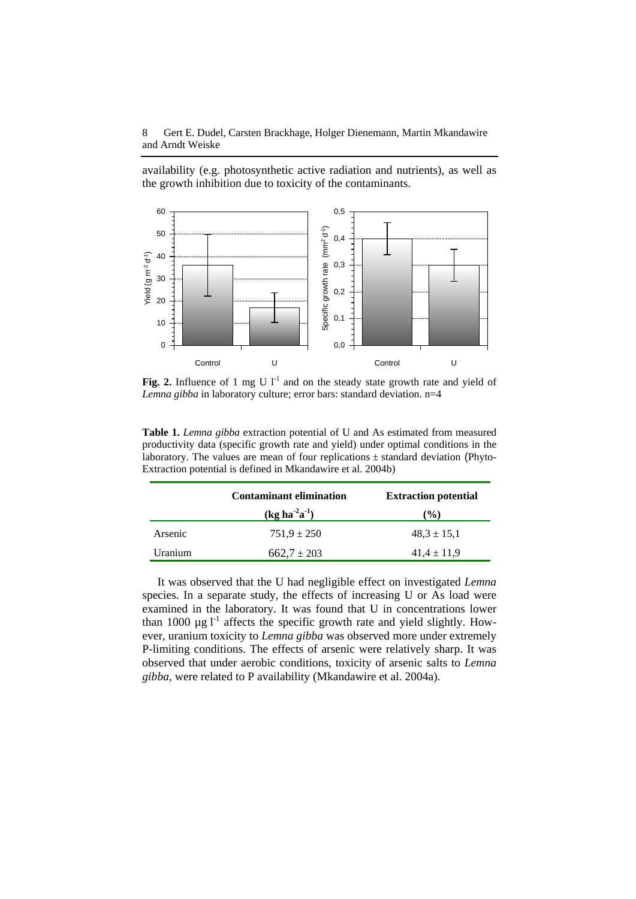availability (e.g. photosynthetic active radiation and nutrients), as well as the growth inhibition due to toxicity of the contaminants.



Fig. 2. Influence of 1 mg U  $I<sup>-1</sup>$  and on the steady state growth rate and yield of *Lemna gibba* in laboratory culture; error bars: standard deviation. n=4

**Table 1.** *Lemna gibba* extraction potential of U and As estimated from measured productivity data (specific growth rate and yield) under optimal conditions in the laboratory. The values are mean of four replications  $\pm$  standard deviation (Phyto-Extraction potential is defined in Mkandawire et al. 2004b)

|         | <b>Contaminant elimination</b> | <b>Extraction potential</b> |
|---------|--------------------------------|-----------------------------|
|         | $(kg ha-2a-1)$                 | $\mathcal{O}(0)$            |
| Arsenic | $751.9 \pm 250$                | $48.3 \pm 15.1$             |
| Uranium | $662,7 \pm 203$                | $41.4 \pm 11.9$             |

It was observed that the U had negligible effect on investigated *Lemna* species. In a separate study, the effects of increasing U or As load were examined in the laboratory. It was found that U in concentrations lower than 1000  $\mu$ g l<sup>-1</sup> affects the specific growth rate and yield slightly. However, uranium toxicity to *Lemna gibba* was observed more under extremely P-limiting conditions. The effects of arsenic were relatively sharp. It was observed that under aerobic conditions, toxicity of arsenic salts to *Lemna gibba*, were related to P availability (Mkandawire et al. 2004a).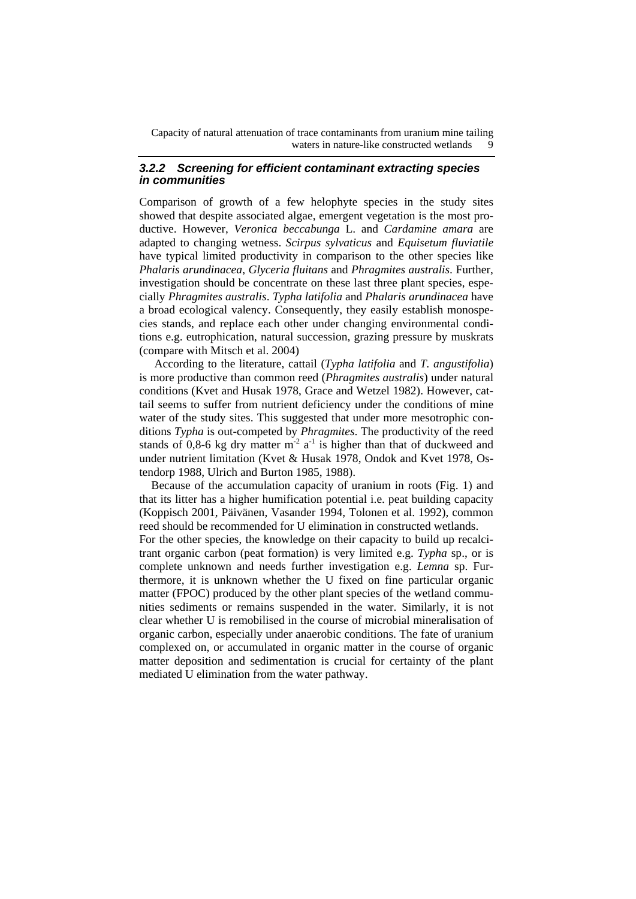#### *3.2.2 Screening for efficient contaminant extracting species in communities*

Comparison of growth of a few helophyte species in the study sites showed that despite associated algae, emergent vegetation is the most productive. However, *Veronica beccabunga* L. and *Cardamine amara* are adapted to changing wetness. *Scirpus sylvaticus* and *Equisetum fluviatile* have typical limited productivity in comparison to the other species like *Phalaris arundinacea*, *Glyceria fluitans* and *Phragmites australis*. Further, investigation should be concentrate on these last three plant species, especially *Phragmites australis*. *Typha latifolia* and *Phalaris arundinacea* have a broad ecological valency. Consequently, they easily establish monospecies stands, and replace each other under changing environmental conditions e.g. eutrophication, natural succession, grazing pressure by muskrats (compare with Mitsch et al. 2004)

According to the literature, cattail (*Typha latifolia* and *T. angustifolia*) is more productive than common reed (*Phragmites australis*) under natural conditions (Kvet and Husak 1978, Grace and Wetzel 1982). However, cattail seems to suffer from nutrient deficiency under the conditions of mine water of the study sites. This suggested that under more mesotrophic conditions *Typha* is out-competed by *Phragmites*. The productivity of the reed stands of 0,8-6 kg dry matter  $m<sup>2</sup> a<sup>-1</sup>$  is higher than that of duckweed and under nutrient limitation (Kvet & Husak 1978, Ondok and Kvet 1978, Ostendorp 1988, Ulrich and Burton 1985, 1988).

Because of the accumulation capacity of uranium in roots (Fig. 1) and that its litter has a higher humification potential i.e. peat building capacity (Koppisch 2001, Päivänen, Vasander 1994, Tolonen et al. 1992), common reed should be recommended for U elimination in constructed wetlands.

For the other species, the knowledge on their capacity to build up recalcitrant organic carbon (peat formation) is very limited e.g. *Typha* sp., or is complete unknown and needs further investigation e.g. *Lemna* sp. Furthermore, it is unknown whether the U fixed on fine particular organic matter (FPOC) produced by the other plant species of the wetland communities sediments or remains suspended in the water. Similarly, it is not clear whether U is remobilised in the course of microbial mineralisation of organic carbon, especially under anaerobic conditions. The fate of uranium complexed on, or accumulated in organic matter in the course of organic matter deposition and sedimentation is crucial for certainty of the plant mediated U elimination from the water pathway.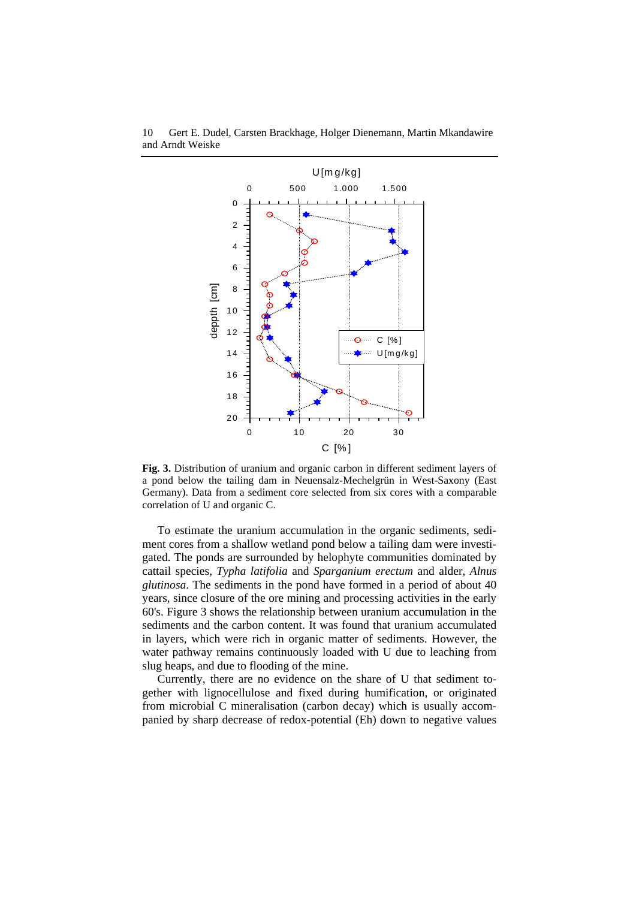

10 Gert E. Dudel, Carsten Brackhage, Holger Dienemann, Martin Mkandawire and Arndt Weiske

**Fig. 3.** Distribution of uranium and organic carbon in different sediment layers of a pond below the tailing dam in Neuensalz-Mechelgrün in West-Saxony (East Germany). Data from a sediment core selected from six cores with a comparable correlation of U and organic C.

To estimate the uranium accumulation in the organic sediments, sediment cores from a shallow wetland pond below a tailing dam were investigated. The ponds are surrounded by helophyte communities dominated by cattail species, *Typha latifolia* and *Sparganium erectum* and alder, *Alnus glutinosa*. The sediments in the pond have formed in a period of about 40 years, since closure of the ore mining and processing activities in the early 60's. Figure 3 shows the relationship between uranium accumulation in the sediments and the carbon content. It was found that uranium accumulated in layers, which were rich in organic matter of sediments. However, the water pathway remains continuously loaded with U due to leaching from slug heaps, and due to flooding of the mine.

Currently, there are no evidence on the share of U that sediment together with lignocellulose and fixed during humification, or originated from microbial C mineralisation (carbon decay) which is usually accompanied by sharp decrease of redox-potential (Eh) down to negative values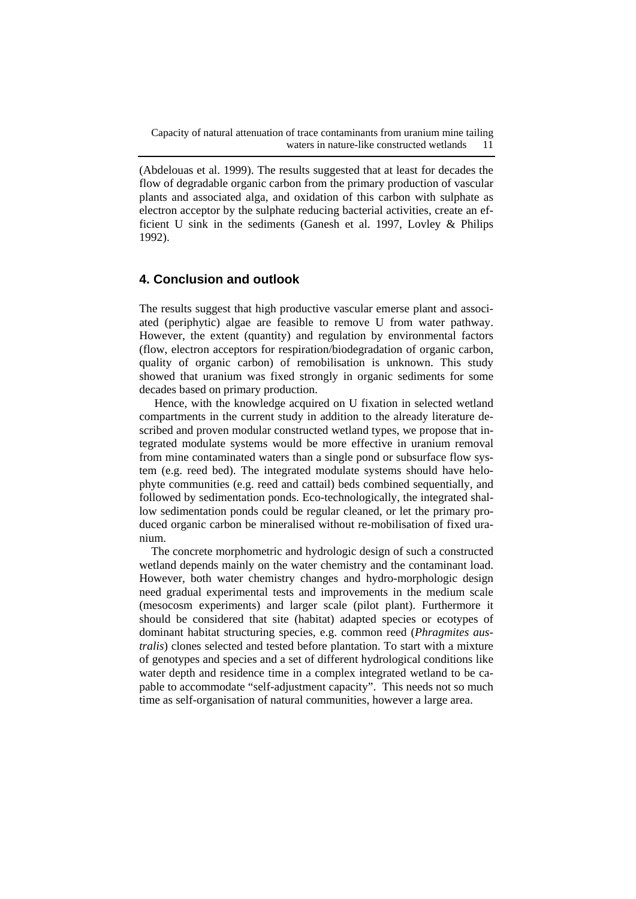(Abdelouas et al. 1999). The results suggested that at least for decades the flow of degradable organic carbon from the primary production of vascular plants and associated alga, and oxidation of this carbon with sulphate as electron acceptor by the sulphate reducing bacterial activities, create an efficient U sink in the sediments (Ganesh et al. 1997, Lovley & Philips 1992).

## **4. Conclusion and outlook**

The results suggest that high productive vascular emerse plant and associated (periphytic) algae are feasible to remove U from water pathway. However, the extent (quantity) and regulation by environmental factors (flow, electron acceptors for respiration/biodegradation of organic carbon, quality of organic carbon) of remobilisation is unknown. This study showed that uranium was fixed strongly in organic sediments for some decades based on primary production.

Hence, with the knowledge acquired on U fixation in selected wetland compartments in the current study in addition to the already literature described and proven modular constructed wetland types, we propose that integrated modulate systems would be more effective in uranium removal from mine contaminated waters than a single pond or subsurface flow system (e.g. reed bed). The integrated modulate systems should have helophyte communities (e.g. reed and cattail) beds combined sequentially, and followed by sedimentation ponds. Eco-technologically, the integrated shallow sedimentation ponds could be regular cleaned, or let the primary produced organic carbon be mineralised without re-mobilisation of fixed uranium.

The concrete morphometric and hydrologic design of such a constructed wetland depends mainly on the water chemistry and the contaminant load. However, both water chemistry changes and hydro-morphologic design need gradual experimental tests and improvements in the medium scale (mesocosm experiments) and larger scale (pilot plant). Furthermore it should be considered that site (habitat) adapted species or ecotypes of dominant habitat structuring species, e.g. common reed (*Phragmites australis*) clones selected and tested before plantation. To start with a mixture of genotypes and species and a set of different hydrological conditions like water depth and residence time in a complex integrated wetland to be capable to accommodate "self-adjustment capacity". This needs not so much time as self-organisation of natural communities, however a large area.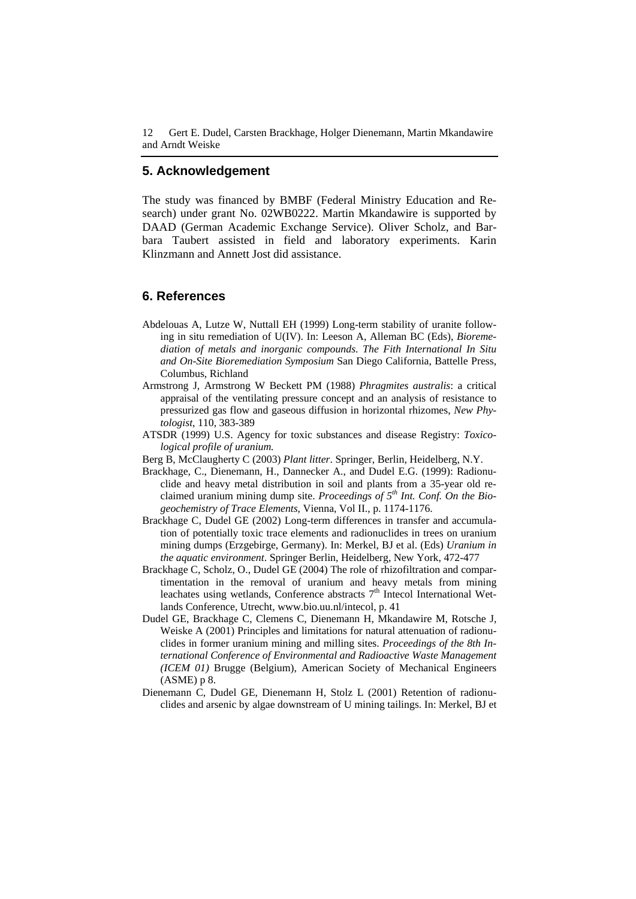## **5. Acknowledgement**

The study was financed by BMBF (Federal Ministry Education and Research) under grant No. 02WB0222. Martin Mkandawire is supported by DAAD (German Academic Exchange Service). Oliver Scholz, and Barbara Taubert assisted in field and laboratory experiments. Karin Klinzmann and Annett Jost did assistance.

# **6. References**

- Abdelouas A, Lutze W, Nuttall EH (1999) Long-term stability of uranite following in situ remediation of U(IV). In: Leeson A, Alleman BC (Eds), *Bioremediation of metals and inorganic compounds*. *The Fith International In Situ and On-Site Bioremediation Symposium* San Diego California, Battelle Press, Columbus, Richland
- Armstrong J, Armstrong W Beckett PM (1988) *Phragmites australis*: a critical appraisal of the ventilating pressure concept and an analysis of resistance to pressurized gas flow and gaseous diffusion in horizontal rhizomes, *New Phytologist*, 110, 383-389
- ATSDR (1999) U.S. Agency for toxic substances and disease Registry: *Toxicological profile of uranium.*
- Berg B, McClaugherty C (2003) *Plant litter*. Springer, Berlin, Heidelberg, N.Y.
- Brackhage, C., Dienemann, H., Dannecker A., and Dudel E.G. (1999): Radionuclide and heavy metal distribution in soil and plants from a 35-year old reclaimed uranium mining dump site. *Proceedings of 5th Int. Conf. On the Biogeochemistry of Trace Elements*, Vienna, Vol II., p. 1174-1176.
- Brackhage C, Dudel GE (2002) Long-term differences in transfer and accumulation of potentially toxic trace elements and radionuclides in trees on uranium mining dumps (Erzgebirge, Germany). In: Merkel, BJ et al. (Eds) *Uranium in the aquatic environment*. Springer Berlin, Heidelberg, New York, 472-477
- Brackhage C, Scholz, O., Dudel GE (2004) The role of rhizofiltration and compartimentation in the removal of uranium and heavy metals from mining leachates using wetlands, Conference abstracts  $7<sup>th</sup>$  Intecol International Wetlands Conference, Utrecht, www.bio.uu.nl/intecol, p. 41
- Dudel GE, Brackhage C, Clemens C, Dienemann H, Mkandawire M, Rotsche J, Weiske A (2001) Principles and limitations for natural attenuation of radionuclides in former uranium mining and milling sites. *Proceedings of the 8th International Conference of Environmental and Radioactive Waste Management (ICEM 01)* Brugge (Belgium), American Society of Mechanical Engineers (ASME) p 8.
- Dienemann C, Dudel GE, Dienemann H, Stolz L (2001) Retention of radionuclides and arsenic by algae downstream of U mining tailings. In: Merkel, BJ et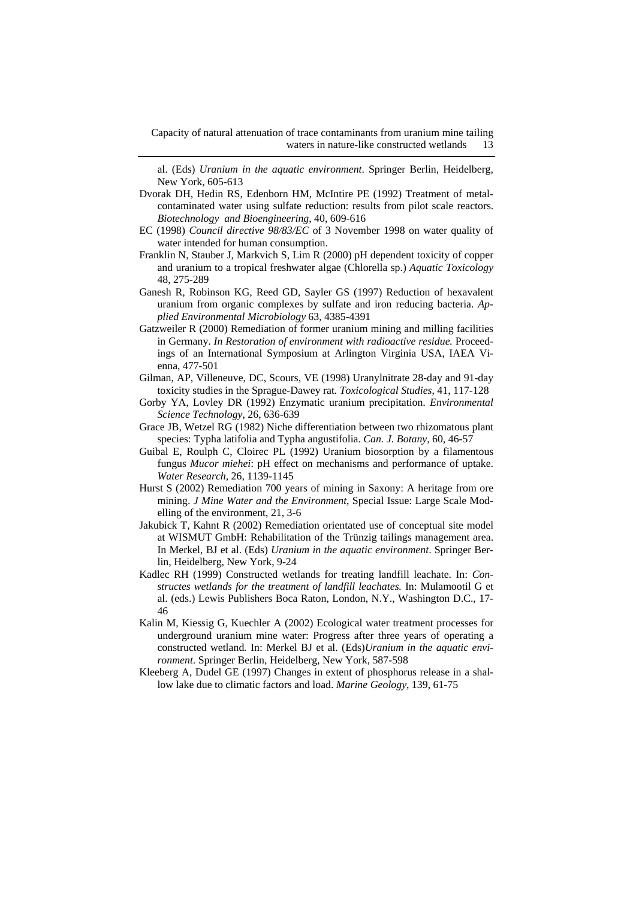al. (Eds) *Uranium in the aquatic environment*. Springer Berlin, Heidelberg, New York, 605-613

- Dvorak DH, Hedin RS, Edenborn HM, McIntire PE (1992) Treatment of metalcontaminated water using sulfate reduction: results from pilot scale reactors. *Biotechnology and Bioengineering*, 40, 609-616
- EC (1998) *Council directive 98/83/EC* of 3 November 1998 on water quality of water intended for human consumption.
- Franklin N, Stauber J, Markvich S, Lim R (2000) pH dependent toxicity of copper and uranium to a tropical freshwater algae (Chlorella sp.) *Aquatic Toxicology* 48, 275-289
- Ganesh R, Robinson KG, Reed GD, Sayler GS (1997) Reduction of hexavalent uranium from organic complexes by sulfate and iron reducing bacteria. *Applied Environmental Microbiology* 63, 4385-4391
- Gatzweiler R (2000) Remediation of former uranium mining and milling facilities in Germany. *In Restoration of environment with radioactive residue.* Proceedings of an International Symposium at Arlington Virginia USA, IAEA Vienna, 477-501
- Gilman, AP, Villeneuve, DC, Scours, VE (1998) Uranylnitrate 28-day and 91-day toxicity studies in the Sprague-Dawey rat. *Toxicological Studies*, 41, 117-128
- Gorby YA, Lovley DR (1992) Enzymatic uranium precipitation*. Environmental Science Technology*, 26, 636-639
- Grace JB, Wetzel RG (1982) Niche differentiation between two rhizomatous plant species: Typha latifolia and Typha angustifolia. *Can. J. Botany*, 60, 46-57
- Guibal E, Roulph C, Cloirec PL (1992) Uranium biosorption by a filamentous fungus *Mucor miehei*: pH effect on mechanisms and performance of uptake. *Water Research*, 26, 1139-1145
- Hurst S (2002) Remediation 700 years of mining in Saxony: A heritage from ore mining. *J Mine Water and the Environment*, Special Issue: Large Scale Modelling of the environment, 21, 3-6
- Jakubick T, Kahnt R (2002) Remediation orientated use of conceptual site model at WISMUT GmbH: Rehabilitation of the Trünzig tailings management area. In Merkel, BJ et al. (Eds) *Uranium in the aquatic environment*. Springer Berlin, Heidelberg, New York, 9-24
- Kadlec RH (1999) Constructed wetlands for treating landfill leachate. In: *Constructes wetlands for the treatment of landfill leachates.* In: Mulamootil G et al. (eds.) Lewis Publishers Boca Raton, London, N.Y., Washington D.C., 17- 46
- Kalin M, Kiessig G, Kuechler A (2002) Ecological water treatment processes for underground uranium mine water: Progress after three years of operating a constructed wetland*.* In: Merkel BJ et al. (Eds)*Uranium in the aquatic environment*. Springer Berlin, Heidelberg, New York, 587-598
- Kleeberg A, Dudel GE (1997) Changes in extent of phosphorus release in a shallow lake due to climatic factors and load. *Marine Geology*, 139, 61-75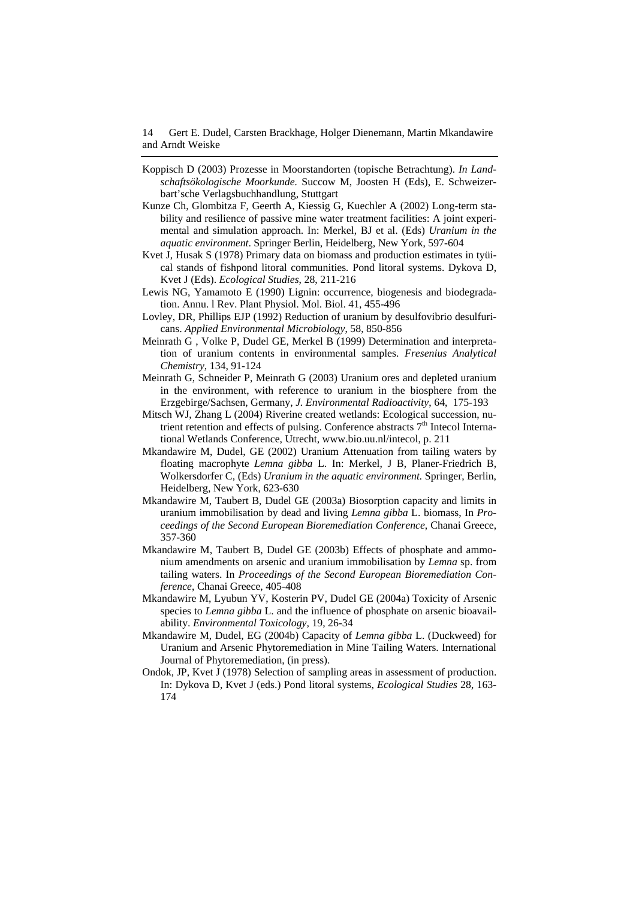- Koppisch D (2003) Prozesse in Moorstandorten (topische Betrachtung). *In Landschaftsökologische Moorkunde.* Succow M, Joosten H (Eds), E. Schweizerbart'sche Verlagsbuchhandlung, Stuttgart
- Kunze Ch, Glombitza F, Geerth A, Kiessig G, Kuechler A (2002) Long-term stability and resilience of passive mine water treatment facilities: A joint experimental and simulation approach. In: Merkel, BJ et al. (Eds) *Uranium in the aquatic environment*. Springer Berlin, Heidelberg, New York, 597-604
- Kvet J, Husak S (1978) Primary data on biomass and production estimates in tyüical stands of fishpond litoral communities*.* Pond litoral systems. Dykova D, Kvet J (Eds). *Ecological Studies*, 28, 211-216
- Lewis NG, Yamamoto E (1990) Lignin: occurrence, biogenesis and biodegradation. Annu. l Rev. Plant Physiol. Mol. Biol. 41, 455-496
- Lovley, DR, Phillips EJP (1992) Reduction of uranium by desulfovibrio desulfuricans. *Applied Environmental Microbiology*, 58, 850-856
- Meinrath G , Volke P, Dudel GE, Merkel B (1999) Determination and interpretation of uranium contents in environmental samples. *Fresenius Analytical Chemistry*, 134, 91-124
- Meinrath G, Schneider P, Meinrath G (2003) Uranium ores and depleted uranium in the environment, with reference to uranium in the biosphere from the Erzgebirge/Sachsen, Germany, *J. Environmental Radioactivity*, 64, 175-193
- Mitsch WJ, Zhang L (2004) Riverine created wetlands: Ecological succession, nutrient retention and effects of pulsing. Conference abstracts  $7<sup>th</sup>$  Intecol International Wetlands Conference, Utrecht, www.bio.uu.nl/intecol, p. 211
- Mkandawire M, Dudel, GE (2002) Uranium Attenuation from tailing waters by floating macrophyte *Lemna gibba* L. In: Merkel, J B, Planer-Friedrich B, Wolkersdorfer C, (Eds) *Uranium in the aquatic environment.* Springer, Berlin, Heidelberg, New York, 623-630
- Mkandawire M, Taubert B, Dudel GE (2003a) Biosorption capacity and limits in uranium immobilisation by dead and living *Lemna gibba* L. biomass, In *Proceedings of the Second European Bioremediation Conference*, Chanai Greece, 357-360
- Mkandawire M, Taubert B, Dudel GE (2003b) Effects of phosphate and ammonium amendments on arsenic and uranium immobilisation by *Lemna* sp. from tailing waters. In *Proceedings of the Second European Bioremediation Conference*, Chanai Greece, 405-408
- Mkandawire M, Lyubun YV, Kosterin PV, Dudel GE (2004a) Toxicity of Arsenic species to *Lemna gibba* L. and the influence of phosphate on arsenic bioavailability. *Environmental Toxicology,* 19, 26-34
- Mkandawire M, Dudel, EG (2004b) Capacity of *Lemna gibba* L. (Duckweed) for Uranium and Arsenic Phytoremediation in Mine Tailing Waters. International Journal of Phytoremediation, (in press).
- Ondok, JP, Kvet J (1978) Selection of sampling areas in assessment of production. In: Dykova D, Kvet J (eds.) Pond litoral systems, *Ecological Studies* 28, 163- 174